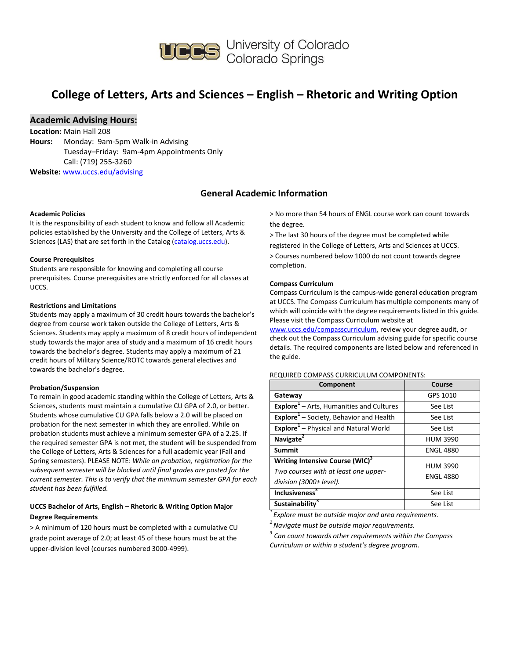

# **College of Letters, Arts and Sciences – English – Rhetoric and Writing Option**

## **Academic Advising Hours:**

**Location:** Main Hall 208 **Hours:** Monday: 9am-5pm Walk-in Advising Tuesday–Friday: 9am-4pm Appointments Only Call: (719) 255-3260 **Website:** [www.uccs.edu/advising](http://www.uccs.edu/advising)

## **General Academic Information**

#### **Academic Policies**

It is the responsibility of each student to know and follow all Academic policies established by the University and the College of Letters, Arts & Sciences (LAS) that are set forth in the Catalog [\(catalog.uccs.edu\)](http://catalog.uccs.edu/).

#### **Course Prerequisites**

Students are responsible for knowing and completing all course prerequisites. Course prerequisites are strictly enforced for all classes at UCCS.

#### **Restrictions and Limitations**

Students may apply a maximum of 30 credit hours towards the bachelor's degree from course work taken outside the College of Letters, Arts & Sciences. Students may apply a maximum of 8 credit hours of independent study towards the major area of study and a maximum of 16 credit hours towards the bachelor's degree. Students may apply a maximum of 21 credit hours of Military Science/ROTC towards general electives and towards the bachelor's degree.

#### **Probation/Suspension**

To remain in good academic standing within the College of Letters, Arts & Sciences, students must maintain a cumulative CU GPA of 2.0, or better. Students whose cumulative CU GPA falls below a 2.0 will be placed on probation for the next semester in which they are enrolled. While on probation students must achieve a minimum semester GPA of a 2.25. If the required semester GPA is not met, the student will be suspended from the College of Letters, Arts & Sciences for a full academic year (Fall and Spring semesters). PLEASE NOTE: *While on probation, registration for the subsequent semester will be blocked until final grades are posted for the current semester. This is to verify that the minimum semester GPA for each student has been fulfilled.*

## **UCCS Bachelor of Arts, English – Rhetoric & Writing Option Major Degree Requirements**

> A minimum of 120 hours must be completed with a cumulative CU grade point average of 2.0; at least 45 of these hours must be at the upper-division level (courses numbered 3000-4999).

> No more than 54 hours of ENGL course work can count towards the degree.

> The last 30 hours of the degree must be completed while registered in the College of Letters, Arts and Sciences at UCCS. > Courses numbered below 1000 do not count towards degree completion.

#### **Compass Curriculum**

Compass Curriculum is the campus-wide general education program at UCCS. The Compass Curriculum has multiple components many of which will coincide with the degree requirements listed in this guide. Please visit the Compass Curriculum website at

[www.uccs.edu/compasscurriculum,](http://www.uccs.edu/compasscurriculum) review your degree audit, or check out the Compass Curriculum advising guide for specific course details. The required components are listed below and referenced in the guide.

#### REQUIRED COMPASS CURRICULUM COMPONENTS:

| Component                                                                                                      | Course                              |
|----------------------------------------------------------------------------------------------------------------|-------------------------------------|
| Gateway                                                                                                        | GPS 1010                            |
| <b>Explore</b> <sup>1</sup> – Arts, Humanities and Cultures                                                    | See List                            |
| Explore <sup>1</sup> - Society, Behavior and Health                                                            | See List                            |
| Explore <sup>1</sup> - Physical and Natural World                                                              | See List                            |
| Navigate <sup>®</sup>                                                                                          | <b>HUM 3990</b>                     |
| <b>Summit</b>                                                                                                  | <b>ENGL 4880</b>                    |
| Writing Intensive Course (WIC) <sup>3</sup><br>Two courses with at least one upper-<br>division (3000+ level). | <b>HUM 3990</b><br><b>ENGL 4880</b> |
| Inclusiveness <sup>3</sup>                                                                                     | See List                            |
| Sustainability <sup>3</sup>                                                                                    | See List                            |

*<sup>1</sup>Explore must be outside major and area requirements.*

*<sup>2</sup>Navigate must be outside major requirements.*

*3 Can count towards other requirements within the Compass Curriculum or within a student's degree program.*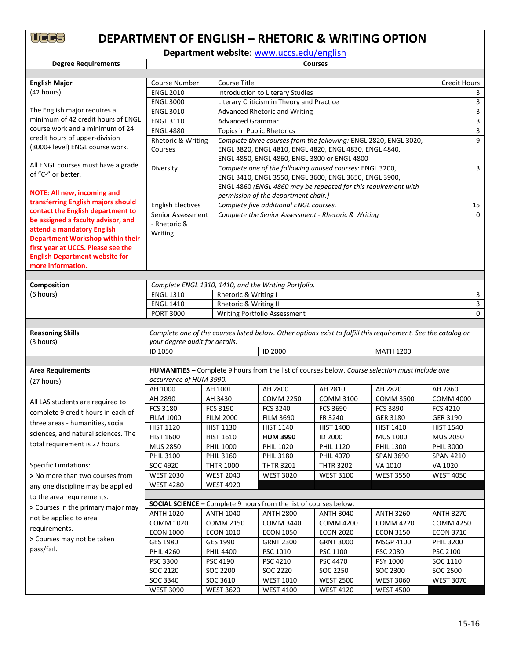# **DEPARTMENT OF ENGLISH – RHETORIC & WRITING OPTION**

**Department website**: [www.uccs.edu/english](http://www.uccs.edu/english)

| <b>Degree Requirements</b>              | <b>Courses</b>                                                                                                                  |                                                                          |                                                        |                                                                                                               |                  |                  |  |  |
|-----------------------------------------|---------------------------------------------------------------------------------------------------------------------------------|--------------------------------------------------------------------------|--------------------------------------------------------|---------------------------------------------------------------------------------------------------------------|------------------|------------------|--|--|
|                                         |                                                                                                                                 |                                                                          |                                                        |                                                                                                               |                  |                  |  |  |
| <b>English Major</b>                    | Course Number                                                                                                                   | <b>Course Title</b>                                                      |                                                        |                                                                                                               |                  |                  |  |  |
| (42 hours)                              | <b>ENGL 2010</b>                                                                                                                | Introduction to Literary Studies                                         | 3                                                      |                                                                                                               |                  |                  |  |  |
|                                         | <b>ENGL 3000</b>                                                                                                                |                                                                          | Literary Criticism in Theory and Practice              |                                                                                                               |                  |                  |  |  |
| The English major requires a            | <b>ENGL 3010</b>                                                                                                                | <b>Advanced Rhetoric and Writing</b>                                     |                                                        |                                                                                                               |                  |                  |  |  |
| minimum of 42 credit hours of ENGL      | <b>ENGL 3110</b>                                                                                                                | <b>Advanced Grammar</b>                                                  |                                                        |                                                                                                               |                  |                  |  |  |
| course work and a minimum of 24         | <b>ENGL 4880</b>                                                                                                                | Topics in Public Rhetorics                                               | 3                                                      |                                                                                                               |                  |                  |  |  |
| credit hours of upper-division          | Complete three courses from the following: ENGL 2820, ENGL 3020,<br>Rhetoric & Writing                                          |                                                                          |                                                        |                                                                                                               |                  | 9                |  |  |
| (3000+ level) ENGL course work.         | Courses                                                                                                                         |                                                                          | ENGL 3820, ENGL 4810, ENGL 4820, ENGL 4830, ENGL 4840, |                                                                                                               |                  |                  |  |  |
| All ENGL courses must have a grade      | ENGL 4850, ENGL 4860, ENGL 3800 or ENGL 4800                                                                                    |                                                                          |                                                        |                                                                                                               |                  | 3                |  |  |
| of "C-" or better.                      | Complete one of the following unused courses: ENGL 3200,<br>Diversity<br>ENGL 3410, ENGL 3550, ENGL 3600, ENGL 3650, ENGL 3900, |                                                                          |                                                        |                                                                                                               |                  |                  |  |  |
|                                         |                                                                                                                                 | ENGL 4860 (ENGL 4860 may be repeated for this requirement with           |                                                        |                                                                                                               |                  |                  |  |  |
| <b>NOTE: All new, incoming and</b>      |                                                                                                                                 |                                                                          | permission of the department chair.)                   |                                                                                                               |                  |                  |  |  |
| transferring English majors should      | <b>English Electives</b>                                                                                                        |                                                                          |                                                        |                                                                                                               |                  | 15               |  |  |
| contact the English department to       | Complete five additional ENGL courses.<br>Senior Assessment<br>Complete the Senior Assessment - Rhetoric & Writing              |                                                                          |                                                        |                                                                                                               |                  | $\Omega$         |  |  |
| be assigned a faculty advisor, and      | - Rhetoric &                                                                                                                    |                                                                          |                                                        |                                                                                                               |                  |                  |  |  |
| attend a mandatory English              | Writing                                                                                                                         |                                                                          |                                                        |                                                                                                               |                  |                  |  |  |
| <b>Department Workshop within their</b> |                                                                                                                                 |                                                                          |                                                        |                                                                                                               |                  |                  |  |  |
| first year at UCCS. Please see the      |                                                                                                                                 |                                                                          |                                                        |                                                                                                               |                  |                  |  |  |
| <b>English Department website for</b>   |                                                                                                                                 |                                                                          |                                                        |                                                                                                               |                  |                  |  |  |
| more information.                       |                                                                                                                                 |                                                                          |                                                        |                                                                                                               |                  |                  |  |  |
|                                         |                                                                                                                                 |                                                                          |                                                        |                                                                                                               |                  |                  |  |  |
| Composition                             | <b>ENGL 1310</b>                                                                                                                | Complete ENGL 1310, 1410, and the Writing Portfolio.                     |                                                        |                                                                                                               |                  |                  |  |  |
| (6 hours)                               |                                                                                                                                 | Rhetoric & Writing I                                                     |                                                        |                                                                                                               |                  | 3                |  |  |
|                                         | <b>ENGL 1410</b>                                                                                                                | Rhetoric & Writing II                                                    |                                                        |                                                                                                               |                  | 3<br>$\Omega$    |  |  |
|                                         | <b>PORT 3000</b>                                                                                                                |                                                                          | Writing Portfolio Assessment                           |                                                                                                               |                  |                  |  |  |
| <b>Reasoning Skills</b>                 |                                                                                                                                 |                                                                          |                                                        | Complete one of the courses listed below. Other options exist to fulfill this requirement. See the catalog or |                  |                  |  |  |
| (3 hours)                               | your degree audit for details.                                                                                                  |                                                                          |                                                        |                                                                                                               |                  |                  |  |  |
|                                         | ID 1050                                                                                                                         |                                                                          | ID 2000                                                |                                                                                                               | <b>MATH 1200</b> |                  |  |  |
|                                         |                                                                                                                                 |                                                                          |                                                        |                                                                                                               |                  |                  |  |  |
| <b>Area Requirements</b>                |                                                                                                                                 |                                                                          |                                                        | HUMANITIES - Complete 9 hours from the list of courses below. Course selection must include one               |                  |                  |  |  |
| (27 hours)                              | occurrence of HUM 3990.                                                                                                         |                                                                          |                                                        |                                                                                                               |                  |                  |  |  |
|                                         | AH 1000                                                                                                                         | AH 1001                                                                  | AH 2800                                                | AH 2810                                                                                                       | AH 2820          | AH 2860          |  |  |
|                                         | AH 2890                                                                                                                         | AH 3430                                                                  | <b>COMM 2250</b>                                       | <b>COMM 3100</b>                                                                                              | <b>COMM 3500</b> | <b>COMM 4000</b> |  |  |
| All LAS students are required to        | <b>FCS 3180</b>                                                                                                                 | <b>FCS 3190</b>                                                          | <b>FCS 3240</b>                                        | <b>FCS 3690</b>                                                                                               | <b>FCS 3890</b>  | <b>FCS 4210</b>  |  |  |
| complete 9 credit hours in each of      | <b>FILM 1000</b>                                                                                                                | <b>FILM 2000</b>                                                         | <b>FILM 3690</b>                                       | FR 3240                                                                                                       | GER 3180         | GER 3190         |  |  |
| three areas - humanities, social        | <b>HIST 1120</b>                                                                                                                | <b>HIST 1130</b>                                                         | <b>HIST 1140</b>                                       | <b>HIST 1400</b>                                                                                              | <b>HIST 1410</b> | <b>HIST 1540</b> |  |  |
| sciences, and natural sciences. The     | <b>HIST 1600</b>                                                                                                                | <b>HIST 1610</b>                                                         | <b>HUM 3990</b>                                        | ID 2000                                                                                                       | <b>MUS 1000</b>  | <b>MUS 2050</b>  |  |  |
| total requirement is 27 hours.          | <b>MUS 2850</b>                                                                                                                 | <b>PHIL 1000</b>                                                         | <b>PHIL 1020</b>                                       | <b>PHIL 1120</b>                                                                                              | <b>PHIL 1300</b> | <b>PHIL 3000</b> |  |  |
|                                         | <b>PHIL 3100</b>                                                                                                                | <b>PHIL 3160</b>                                                         | <b>PHIL 3180</b>                                       | <b>PHIL 4070</b>                                                                                              | <b>SPAN 3690</b> | <b>SPAN 4210</b> |  |  |
| <b>Specific Limitations:</b>            | SOC 4920                                                                                                                        | <b>THTR 1000</b>                                                         | <b>THTR 3201</b>                                       | <b>THTR 3202</b>                                                                                              | VA 1010          | VA 1020          |  |  |
| > No more than two courses from         | <b>WEST 2030</b>                                                                                                                | <b>WEST 2040</b>                                                         | <b>WEST 3020</b>                                       | <b>WEST 3100</b>                                                                                              | <b>WEST 3550</b> | <b>WEST 4050</b> |  |  |
| any one discipline may be applied       | <b>WEST 4280</b>                                                                                                                | <b>WEST 4920</b>                                                         |                                                        |                                                                                                               |                  |                  |  |  |
| to the area requirements.               |                                                                                                                                 |                                                                          |                                                        |                                                                                                               |                  |                  |  |  |
| > Courses in the primary major may      |                                                                                                                                 | <b>SOCIAL SCIENCE - Complete 9 hours from the list of courses below.</b> |                                                        |                                                                                                               |                  |                  |  |  |
|                                         | <b>ANTH 1020</b>                                                                                                                | <b>ANTH 1040</b>                                                         | <b>ANTH 2800</b>                                       | <b>ANTH 3040</b>                                                                                              | <b>ANTH 3260</b> | <b>ANTH 3270</b> |  |  |
| not be applied to area                  | <b>COMM 1020</b>                                                                                                                | <b>COMM 2150</b>                                                         | <b>COMM 3440</b>                                       | <b>COMM 4200</b>                                                                                              | <b>COMM 4220</b> | <b>COMM 4250</b> |  |  |
| requirements.                           | <b>ECON 1000</b>                                                                                                                | <b>ECON 1010</b>                                                         | <b>ECON 1050</b>                                       | <b>ECON 2020</b>                                                                                              | <b>ECON 3150</b> | <b>ECON 3710</b> |  |  |
| > Courses may not be taken              | GES 1980                                                                                                                        | GES 1990                                                                 | <b>GRNT 2300</b>                                       | <b>GRNT 3000</b>                                                                                              | <b>MSGP 4100</b> | <b>PHIL 3200</b> |  |  |
| pass/fail.                              | <b>PHIL 4260</b>                                                                                                                | <b>PHIL 4400</b>                                                         | PSC 1010                                               | PSC 1100                                                                                                      | PSC 2080         | PSC 2100         |  |  |
|                                         | PSC 3300                                                                                                                        | PSC 4190                                                                 | PSC 4210                                               | PSC 4470                                                                                                      | PSY 1000         | SOC 1110         |  |  |
|                                         | SOC 2120                                                                                                                        | SOC 2200                                                                 | SOC 2220                                               | SOC 2250                                                                                                      | SOC 2300         | SOC 2500         |  |  |
|                                         | SOC 3340                                                                                                                        | SOC 3610                                                                 | <b>WEST 1010</b>                                       | <b>WEST 2500</b>                                                                                              | <b>WEST 3060</b> | <b>WEST 3070</b> |  |  |
|                                         | <b>WEST 3090</b>                                                                                                                | <b>WEST 3620</b>                                                         | <b>WEST 4100</b>                                       | <b>WEST 4120</b>                                                                                              | <b>WEST 4500</b> |                  |  |  |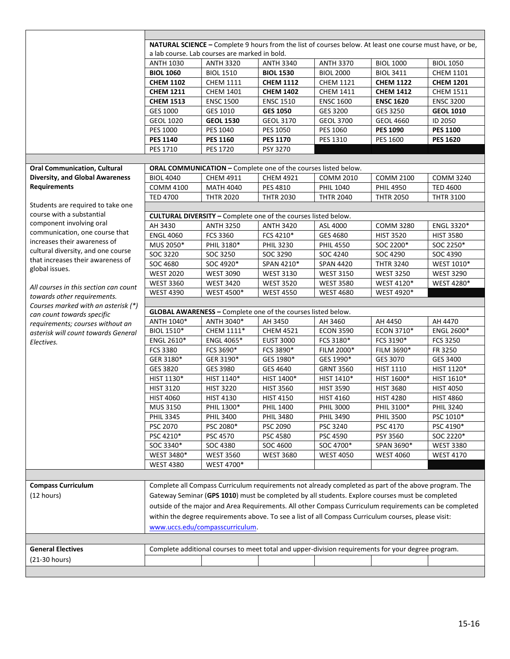|                                        | NATURAL SCIENCE - Complete 9 hours from the list of courses below. At least one course must have, or be, |                                 |                                                                       |                                                                                                        |                  |                  |  |  |
|----------------------------------------|----------------------------------------------------------------------------------------------------------|---------------------------------|-----------------------------------------------------------------------|--------------------------------------------------------------------------------------------------------|------------------|------------------|--|--|
|                                        | a lab course. Lab courses are marked in bold.                                                            |                                 |                                                                       |                                                                                                        |                  |                  |  |  |
|                                        | <b>ANTH 1030</b>                                                                                         | <b>ANTH 3320</b>                | <b>ANTH 3340</b>                                                      | <b>ANTH 3370</b>                                                                                       | <b>BIOL 1000</b> | <b>BIOL 1050</b> |  |  |
|                                        | <b>BIOL 1060</b>                                                                                         | <b>BIOL 1510</b>                | <b>BIOL 1530</b>                                                      | <b>BIOL 2000</b>                                                                                       | <b>BIOL 3411</b> | <b>CHEM 1101</b> |  |  |
|                                        | <b>CHEM 1102</b>                                                                                         | <b>CHEM 1111</b>                | <b>CHEM 1112</b>                                                      | <b>CHEM 1121</b>                                                                                       | <b>CHEM 1122</b> | <b>CHEM 1201</b> |  |  |
|                                        | <b>CHEM 1211</b>                                                                                         | <b>CHEM 1401</b>                | <b>CHEM 1402</b>                                                      | <b>CHEM 1411</b>                                                                                       | <b>CHEM 1412</b> | <b>CHEM 1511</b> |  |  |
|                                        | <b>CHEM 1513</b>                                                                                         | <b>ENSC 1500</b>                | <b>ENSC 1510</b>                                                      | <b>ENSC 1600</b>                                                                                       | <b>ENSC 1620</b> | <b>ENSC 3200</b> |  |  |
|                                        | GES 1000                                                                                                 | GES 1010                        | <b>GES 1050</b>                                                       | GES 3200                                                                                               | GES 3250         | <b>GEOL 1010</b> |  |  |
|                                        | <b>GEOL 1020</b>                                                                                         | <b>GEOL 1530</b>                | <b>GEOL 3170</b>                                                      | <b>GEOL 3700</b>                                                                                       | <b>GEOL 4660</b> | ID 2050          |  |  |
|                                        | <b>PES 1000</b>                                                                                          | PES 1040                        | PES 1050                                                              | PES 1060                                                                                               | <b>PES 1090</b>  | <b>PES 1100</b>  |  |  |
|                                        | <b>PES 1140</b>                                                                                          | <b>PES 1160</b>                 | <b>PES 1170</b>                                                       | PES 1310                                                                                               | PES 1600         | <b>PES 1620</b>  |  |  |
|                                        | PES 1710                                                                                                 | PES 1720                        | PSY 3270                                                              |                                                                                                        |                  |                  |  |  |
|                                        |                                                                                                          |                                 |                                                                       |                                                                                                        |                  |                  |  |  |
| <b>Oral Communication, Cultural</b>    |                                                                                                          |                                 | ORAL COMMUNICATION - Complete one of the courses listed below.        |                                                                                                        |                  |                  |  |  |
| <b>Diversity, and Global Awareness</b> | <b>BIOL 4040</b>                                                                                         | CHEM 4911                       | <b>CHEM 4921</b>                                                      | <b>COMM 2010</b>                                                                                       | <b>COMM 2100</b> | <b>COMM 3240</b> |  |  |
| <b>Requirements</b>                    | <b>COMM 4100</b>                                                                                         | <b>MATH 4040</b>                | PES 4810                                                              | <b>PHIL 1040</b>                                                                                       | <b>PHIL 4950</b> | <b>TED 4600</b>  |  |  |
|                                        | <b>TED 4700</b>                                                                                          | <b>THTR 2020</b>                | <b>THTR 2030</b>                                                      | <b>THTR 2040</b>                                                                                       | <b>THTR 2050</b> | <b>THTR 3100</b> |  |  |
| Students are required to take one      |                                                                                                          |                                 |                                                                       |                                                                                                        |                  |                  |  |  |
| course with a substantial              |                                                                                                          |                                 | <b>CULTURAL DIVERSITY - Complete one of the courses listed below.</b> |                                                                                                        |                  |                  |  |  |
| component involving oral               | AH 3430                                                                                                  | <b>ANTH 3250</b>                | <b>ANTH 3420</b>                                                      | ASL 4000                                                                                               | <b>COMM 3280</b> | ENGL 3320*       |  |  |
| communication, one course that         | <b>ENGL 4060</b>                                                                                         | FCS 3360                        | FCS 4210*                                                             | GES 4680                                                                                               | <b>HIST 3520</b> | <b>HIST 3580</b> |  |  |
| increases their awareness of           | MUS 2050*                                                                                                | PHIL 3180*                      | <b>PHIL 3230</b>                                                      | <b>PHIL 4550</b>                                                                                       | SOC 2200*        | SOC 2250*        |  |  |
| cultural diversity, and one course     | SOC 3220                                                                                                 | SOC 3250                        | SOC 3290                                                              | SOC 4240                                                                                               | SOC 4290         | SOC 4390         |  |  |
| that increases their awareness of      | SOC 4680                                                                                                 | SOC 4920*                       | SPAN 4210*                                                            | <b>SPAN 4420</b>                                                                                       | <b>THTR 3240</b> | WEST 1010*       |  |  |
| global issues.                         | <b>WEST 2020</b>                                                                                         | <b>WEST 3090</b>                | <b>WEST 3130</b>                                                      | <b>WEST 3150</b>                                                                                       | <b>WEST 3250</b> | <b>WEST 3290</b> |  |  |
|                                        | <b>WEST 3360</b>                                                                                         | <b>WEST 3420</b>                | <b>WEST 3520</b>                                                      | <b>WEST 3580</b>                                                                                       | WEST 4120*       | WEST 4280*       |  |  |
| All courses in this section can count  | <b>WEST 4390</b>                                                                                         | WEST 4500*                      | <b>WEST 4550</b>                                                      | <b>WEST 4680</b>                                                                                       | WEST 4920*       |                  |  |  |
| towards other requirements.            |                                                                                                          |                                 |                                                                       |                                                                                                        |                  |                  |  |  |
| Courses marked with an asterisk (*)    |                                                                                                          |                                 | GLOBAL AWARENESS - Complete one of the courses listed below.          |                                                                                                        |                  |                  |  |  |
| can count towards specific             | ANTH 1040*                                                                                               | ANTH 3040*                      | AH 3450                                                               | AH 3460                                                                                                | AH 4450          | AH 4470          |  |  |
|                                        |                                                                                                          |                                 |                                                                       | <b>ECON 3590</b>                                                                                       | ECON 3710*       | ENGL 2600*       |  |  |
| requirements; courses without an       |                                                                                                          |                                 |                                                                       |                                                                                                        |                  |                  |  |  |
| asterisk will count towards General    | <b>BIOL 1510*</b>                                                                                        | CHEM 1111*                      | <b>CHEM 4521</b>                                                      |                                                                                                        |                  |                  |  |  |
| Electives.                             | ENGL 2610*                                                                                               | ENGL 4065*                      | <b>EUST 3000</b>                                                      | FCS 3180*                                                                                              | FCS 3190*        | <b>FCS 3250</b>  |  |  |
|                                        | <b>FCS 3380</b>                                                                                          | FCS 3690*                       | FCS 3890*                                                             | FILM 2000*                                                                                             | FILM 3690*       | FR 3250          |  |  |
|                                        | GER 3180*                                                                                                | GER 3190*                       | GES 1980*                                                             | GES 1990*                                                                                              | GES 3070         | GES 3400         |  |  |
|                                        | GES 3820                                                                                                 | GES 3980                        | GES 4640                                                              | <b>GRNT 3560</b>                                                                                       | HIST 1110        | HIST 1120*       |  |  |
|                                        | HIST 1130*                                                                                               | HIST 1140*                      | HIST 1400*                                                            | HIST 1410*                                                                                             | HIST 1600*       | HIST 1610*       |  |  |
|                                        | <b>HIST 3120</b>                                                                                         | <b>HIST 3220</b>                | <b>HIST 3560</b>                                                      | <b>HIST 3590</b>                                                                                       | <b>HIST 3680</b> | <b>HIST 4050</b> |  |  |
|                                        | <b>HIST 4060</b>                                                                                         | <b>HIST 4130</b>                | <b>HIST 4150</b>                                                      | <b>HIST 4160</b>                                                                                       | <b>HIST 4280</b> | <b>HIST 4860</b> |  |  |
|                                        | MUS 3150                                                                                                 | PHIL 1300*                      | <b>PHIL 1400</b>                                                      | <b>PHIL 3000</b>                                                                                       | PHIL 3100*       | <b>PHIL 3240</b> |  |  |
|                                        | <b>PHIL 3345</b>                                                                                         | <b>PHIL 3400</b>                | <b>PHIL 3480</b>                                                      | <b>PHIL 3490</b>                                                                                       | <b>PHIL 3500</b> | PSC 1010*        |  |  |
|                                        | PSC 2070                                                                                                 | PSC 2080*                       | PSC 2090                                                              | PSC 3240                                                                                               | PSC 4170         | PSC 4190*        |  |  |
|                                        | PSC 4210*                                                                                                | PSC 4570                        | PSC 4580                                                              | PSC 4590                                                                                               | PSY 3560         | SOC 2220*        |  |  |
|                                        | SOC 3340*                                                                                                | SOC 4380                        | SOC 4600                                                              | SOC 4700*                                                                                              | SPAN 3690*       | <b>WEST 3380</b> |  |  |
|                                        | WEST 3480*                                                                                               | <b>WEST 3560</b>                | <b>WEST 3680</b>                                                      | <b>WEST 4050</b>                                                                                       | <b>WEST 4060</b> | <b>WEST 4170</b> |  |  |
|                                        | <b>WEST 4380</b>                                                                                         | WEST 4700*                      |                                                                       |                                                                                                        |                  |                  |  |  |
|                                        |                                                                                                          |                                 |                                                                       |                                                                                                        |                  |                  |  |  |
| <b>Compass Curriculum</b>              |                                                                                                          |                                 |                                                                       | Complete all Compass Curriculum requirements not already completed as part of the above program. The   |                  |                  |  |  |
| (12 hours)                             |                                                                                                          |                                 |                                                                       | Gateway Seminar (GPS 1010) must be completed by all students. Explore courses must be completed        |                  |                  |  |  |
|                                        |                                                                                                          |                                 |                                                                       | outside of the major and Area Requirements. All other Compass Curriculum requirements can be completed |                  |                  |  |  |
|                                        |                                                                                                          |                                 |                                                                       | within the degree requirements above. To see a list of all Compass Curriculum courses, please visit:   |                  |                  |  |  |
|                                        |                                                                                                          | www.uccs.edu/compasscurriculum. |                                                                       |                                                                                                        |                  |                  |  |  |
|                                        |                                                                                                          |                                 |                                                                       |                                                                                                        |                  |                  |  |  |
|                                        |                                                                                                          |                                 |                                                                       |                                                                                                        |                  |                  |  |  |
| <b>General Electives</b>               |                                                                                                          |                                 |                                                                       | Complete additional courses to meet total and upper-division requirements for your degree program.     |                  |                  |  |  |
| (21-30 hours)                          |                                                                                                          |                                 |                                                                       |                                                                                                        |                  |                  |  |  |